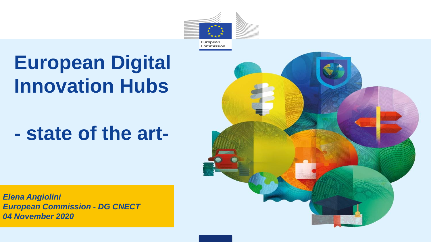

# **European Digital Innovation Hubs**

## **- state of the art-**



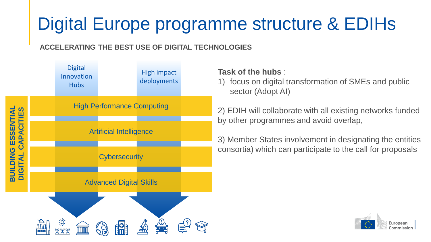### Digital Europe programme structure & EDIHs

### **ACCELERATING THE BEST USE OF DIGITAL TECHNOLOGIES**



### **Task of the hubs** :

1) focus on digital transformation of SMEs and public sector (Adopt AI)

2) EDIH will collaborate with all existing networks funded by other programmes and avoid overlap,

3) Member States involvement in designating the entities consortia) which can participate to the call for proposals

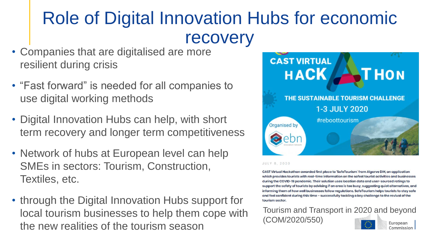### Role of Digital Innovation Hubs for economic recovery

- Companies that are digitalised are more resilient during crisis
- "Fast forward" is needed for all companies to use digital working methods
- Digital Innovation Hubs can help, with short term recovery and longer term competitiveness
- Network of hubs at European level can help SMEs in sectors: Tourism, Construction, Textiles, etc.
- through the Digital Innovation Hubs support for local tourism businesses to help them cope with the new realities of the tourism season



#### JULY 8, 2020

CAST Virtual Hackathon awarded first place to 'SafeTourism' from Algarve DIH, an application which provides tourists with real-time information on the safest tourist activities and businesses during the COVID-19 pandemic. Their solution uses location data and user-sourced ratings to support the safety of tourists by advising if an area is too busy, suggesting quiet alternatives, and informing them of how well businesses follow regulations. SafeTourism helps tourists to stay safe and feel confident during this time - successfully tackling a key challenge to the revival of the tourism sector.

#### Tourism and Transport in 2020 and beyond (COM/2020/550) European Commission